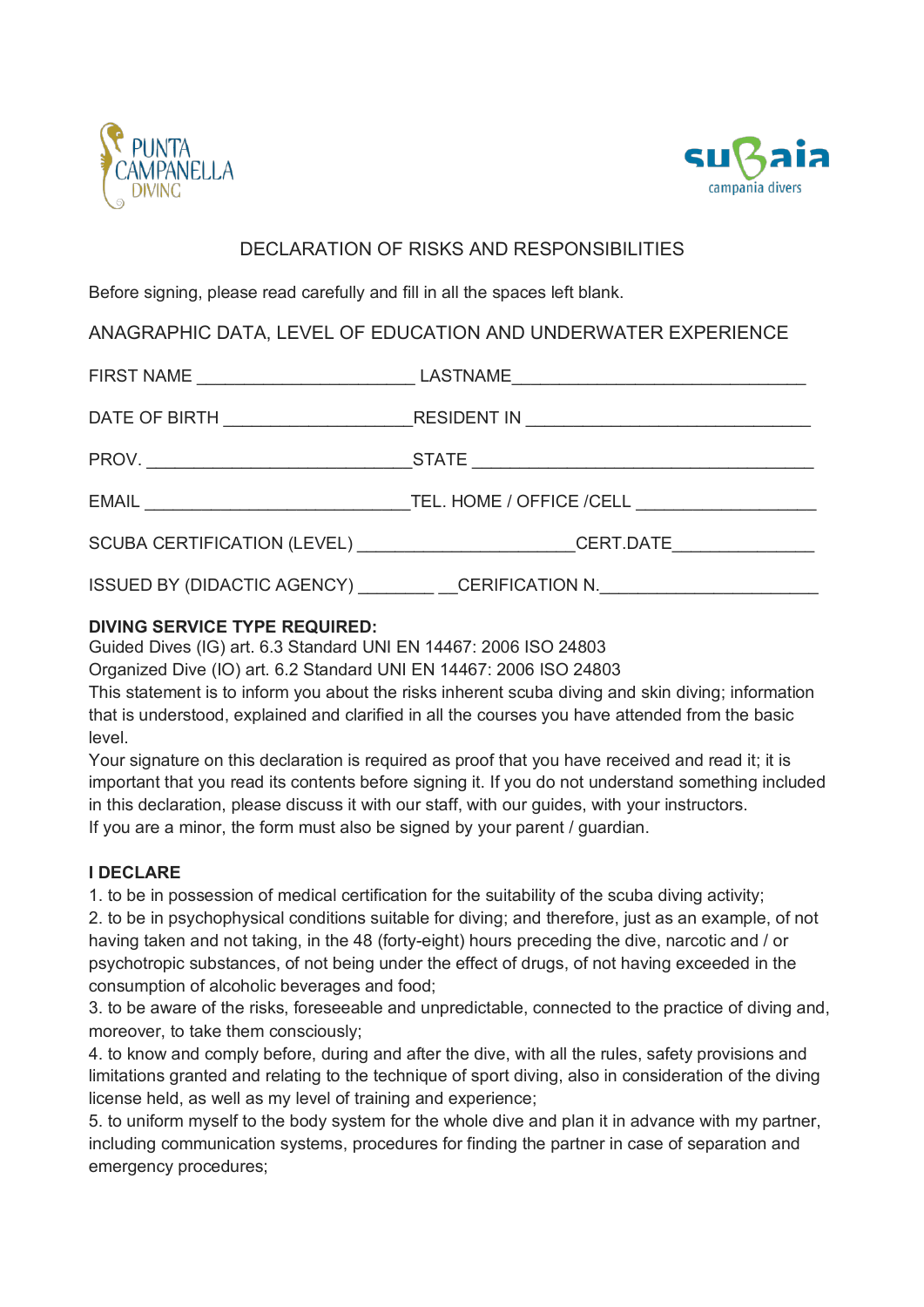



# DECLARATION OF RISKS AND RESPONSIBILITIES

Before signing, please read carefully and fill in all the spaces left blank.

# ANAGRAPHIC DATA, LEVEL OF EDUCATION AND UNDERWATER EXPERIENCE

| FIRST NAME ___________________________________LASTNAME___________________________ |  |
|-----------------------------------------------------------------------------------|--|
|                                                                                   |  |
|                                                                                   |  |
|                                                                                   |  |
| SCUBA CERTIFICATION (LEVEL) _______________________CERT.DATE____________________  |  |
| ISSUED BY (DIDACTIC AGENCY) _____________CERIFICATION N.________________________  |  |

## **DIVING SERVICE TYPE REQUIRED:**

Guided Dives (IG) art. 6.3 Standard UNI EN 14467: 2006 ISO 24803

Organized Dive (IO) art. 6.2 Standard UNI EN 14467: 2006 ISO 24803

This statement is to inform you about the risks inherent scuba diving and skin diving; information that is understood, explained and clarified in all the courses you have attended from the basic level.

Your signature on this declaration is required as proof that you have received and read it; it is important that you read its contents before signing it. If you do not understand something included in this declaration, please discuss it with our staff, with our guides, with your instructors. If you are a minor, the form must also be signed by your parent / guardian.

# **I DECLARE**

1. to be in possession of medical certification for the suitability of the scuba diving activity;

2. to be in psychophysical conditions suitable for diving; and therefore, just as an example, of not having taken and not taking, in the 48 (forty-eight) hours preceding the dive, narcotic and / or psychotropic substances, of not being under the effect of drugs, of not having exceeded in the consumption of alcoholic beverages and food;

3. to be aware of the risks, foreseeable and unpredictable, connected to the practice of diving and, moreover, to take them consciously;

4. to know and comply before, during and after the dive, with all the rules, safety provisions and limitations granted and relating to the technique of sport diving, also in consideration of the diving license held, as well as my level of training and experience;

5. to uniform myself to the body system for the whole dive and plan it in advance with my partner, including communication systems, procedures for finding the partner in case of separation and emergency procedures;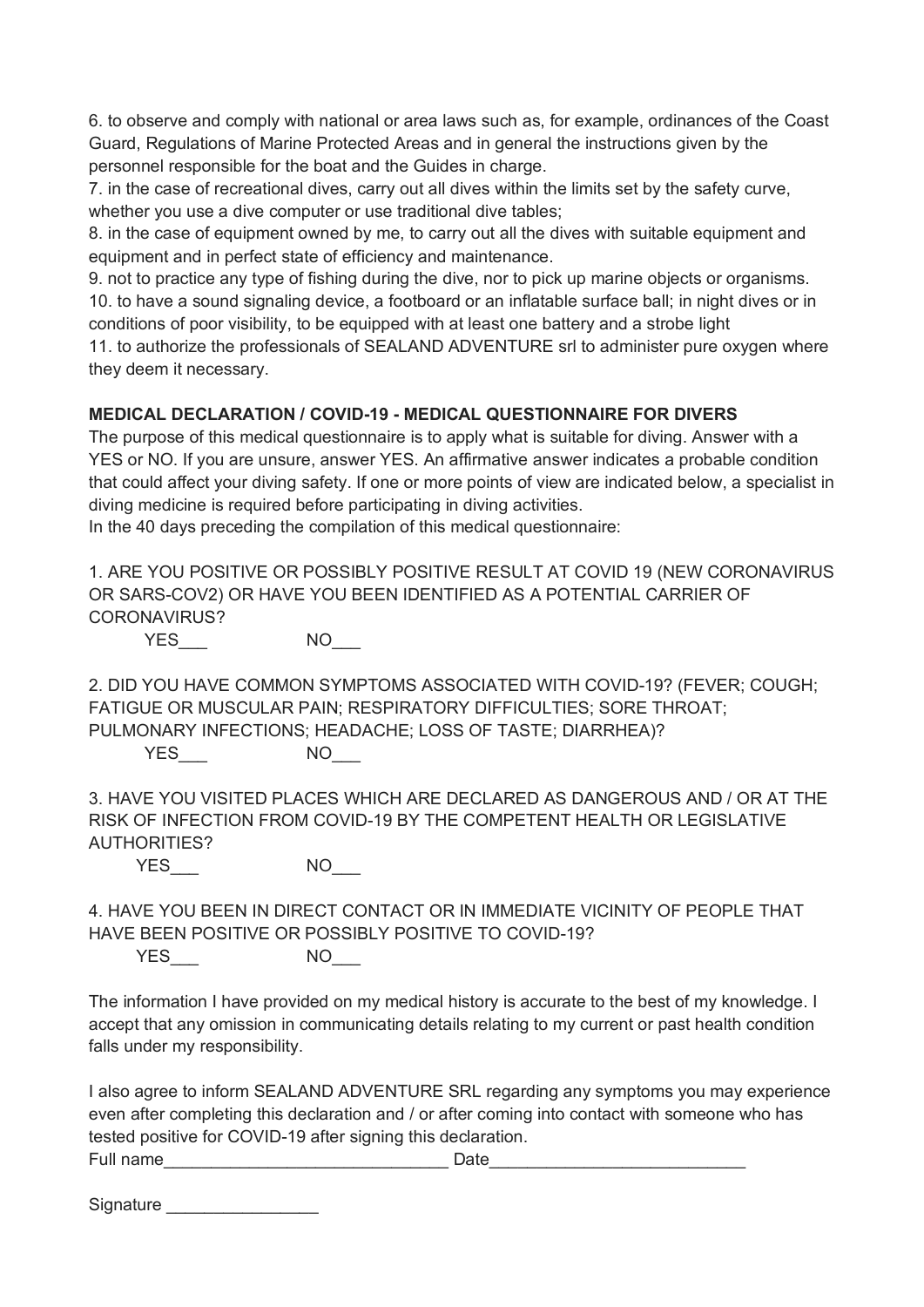6. to observe and comply with national or area laws such as, for example, ordinances of the Coast Guard, Regulations of Marine Protected Areas and in general the instructions given by the personnel responsible for the boat and the Guides in charge.

7. in the case of recreational dives, carry out all dives within the limits set by the safety curve, whether you use a dive computer or use traditional dive tables;

8. in the case of equipment owned by me, to carry out all the dives with suitable equipment and equipment and in perfect state of efficiency and maintenance.

9. not to practice any type of fishing during the dive, nor to pick up marine objects or organisms. 10. to have a sound signaling device, a footboard or an inflatable surface ball; in night dives or in

conditions of poor visibility, to be equipped with at least one battery and a strobe light 11. to authorize the professionals of SEALAND ADVENTURE srl to administer pure oxygen where

they deem it necessary.

## **MEDICAL DECLARATION / COVID-19 - MEDICAL QUESTIONNAIRE FOR DIVERS**

The purpose of this medical questionnaire is to apply what is suitable for diving. Answer with a YES or NO. If you are unsure, answer YES. An affirmative answer indicates a probable condition that could affect your diving safety. If one or more points of view are indicated below, a specialist in diving medicine is required before participating in diving activities.

In the 40 days preceding the compilation of this medical questionnaire:

1. ARE YOU POSITIVE OR POSSIBLY POSITIVE RESULT AT COVID 19 (NEW CORONAVIRUS OR SARS-COV2) OR HAVE YOU BEEN IDENTIFIED AS A POTENTIAL CARRIER OF CORONAVIRUS?

YES<sup>NO</sup>NO

2. DID YOU HAVE COMMON SYMPTOMS ASSOCIATED WITH COVID-19? (FEVER; COUGH; FATIGUE OR MUSCULAR PAIN; RESPIRATORY DIFFICULTIES; SORE THROAT; PULMONARY INFECTIONS; HEADACHE; LOSS OF TASTE; DIARRHEA)?

YES<sup>NO</sup>

3. HAVE YOU VISITED PLACES WHICH ARE DECLARED AS DANGEROUS AND / OR AT THE RISK OF INFECTION FROM COVID-19 BY THE COMPETENT HEALTH OR LEGISLATIVE AUTHORITIES?

YES<sup>NO</sup>

4. HAVE YOU BEEN IN DIRECT CONTACT OR IN IMMEDIATE VICINITY OF PEOPLE THAT HAVE BEEN POSITIVE OR POSSIBLY POSITIVE TO COVID-19? YES<sup>NO</sup>NO

The information I have provided on my medical history is accurate to the best of my knowledge. I accept that any omission in communicating details relating to my current or past health condition falls under my responsibility.

I also agree to inform SEALAND ADVENTURE SRL regarding any symptoms you may experience even after completing this declaration and / or after coming into contact with someone who has tested positive for COVID-19 after signing this declaration. Full name **Date** 

Signature \_\_\_\_\_\_\_\_\_\_\_\_\_\_\_\_